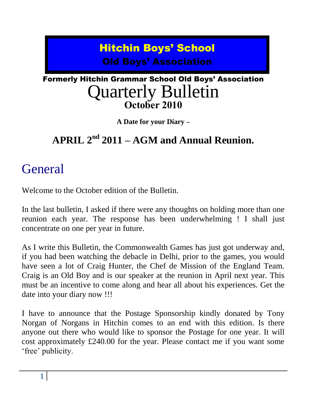## Hitchin Boys' School Old Boys' Association

### Formerly Hitchin Grammar School Old Boys' Association Quarterly Bulletin **October 2010**

**A Date for your Diary –**

### **APRIL 2nd 2011 – AGM and Annual Reunion.**

# **General**

Welcome to the October edition of the Bulletin.

In the last bulletin, I asked if there were any thoughts on holding more than one reunion each year. The response has been underwhelming ! I shall just concentrate on one per year in future.

As I write this Bulletin, the Commonwealth Games has just got underway and, if you had been watching the debacle in Delhi, prior to the games, you would have seen a lot of Craig Hunter, the Chef de Mission of the England Team. Craig is an Old Boy and is our speaker at the reunion in April next year. This must be an incentive to come along and hear all about his experiences. Get the date into your diary now !!!

I have to announce that the Postage Sponsorship kindly donated by Tony Norgan of Norgans in Hitchin comes to an end with this edition. Is there anyone out there who would like to sponsor the Postage for one year. It will cost approximately £240.00 for the year. Please contact me if you want some 'free' publicity.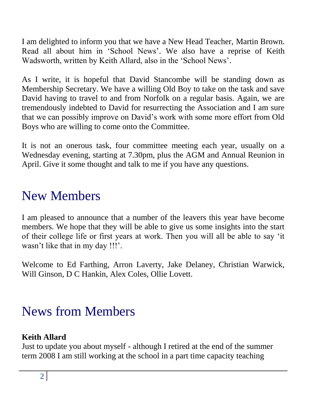I am delighted to inform you that we have a New Head Teacher, Martin Brown. Read all about him in "School News". We also have a reprise of Keith Wadsworth, written by Keith Allard, also in the "School News".

As I write, it is hopeful that David Stancombe will be standing down as Membership Secretary. We have a willing Old Boy to take on the task and save David having to travel to and from Norfolk on a regular basis. Again, we are tremendously indebted to David for resurrecting the Association and I am sure that we can possibly improve on David"s work with some more effort from Old Boys who are willing to come onto the Committee.

It is not an onerous task, four committee meeting each year, usually on a Wednesday evening, starting at 7.30pm, plus the AGM and Annual Reunion in April. Give it some thought and talk to me if you have any questions.

# New Members

I am pleased to announce that a number of the leavers this year have become members. We hope that they will be able to give us some insights into the start of their college life or first years at work. Then you will all be able to say "it wasn't like that in my day !!!'.

Welcome to Ed Farthing, Arron Laverty, Jake Delaney, Christian Warwick, Will Ginson, D C Hankin, Alex Coles, Ollie Lovett.

# News from Members

### **Keith Allard**

Just to update you about myself - although I retired at the end of the summer term 2008 I am still working at the school in a part time capacity teaching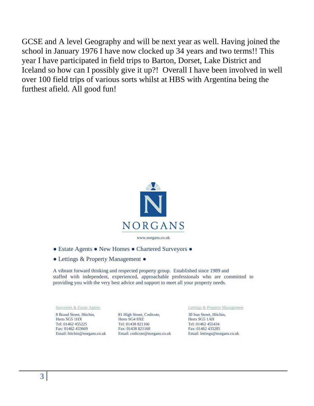GCSE and A level Geography and will be next year as well. Having joined the school in January 1976 I have now clocked up 34 years and two terms!! This year I have participated in field trips to Barton, Dorset, Lake District and Iceland so how can I possibly give it up?! Overall I have been involved in well over 100 field trips of various sorts whilst at HBS with Argentina being the furthest afield. All good fun!



www.norgans.co.uk

- Estate Agents New Homes Chartered Surveyors ●
- Lettings & Property Management ●

A vibrant forward thinking and respected property group. Established since 1989 and staffed with independent, experienced, approachable professionals who are committed to providing you with the very best advice and support to meet all your property needs.

8 Brand Street, Hitchin, Herts SG5 1HX Tel: 01462 455225 Fax: 01462 433669 Email: hitchin@norgans.co.uk

81 High Street, Codicote, Herts SG4 8XE Tel: 01438 821166 Fax: 01438 821168 Email: codicote@norgans.co.uk

Surveyors & Estate Agents Lettings & Property Management

30 Sun Street, Hitchin, Herts SG5 1AH Tel: 01462 455434 Fax: 01462 433285 Email: lettings@norgans.co.uk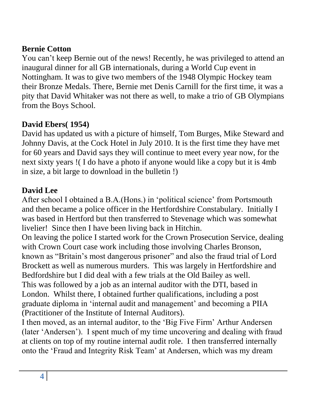#### **Bernie Cotton**

You can"t keep Bernie out of the news! Recently, he was privileged to attend an inaugural dinner for all GB internationals, during a World Cup event in Nottingham. It was to give two members of the 1948 Olympic Hockey team their Bronze Medals. There, Bernie met Denis Carnill for the first time, it was a pity that David Whitaker was not there as well, to make a trio of GB Olympians from the Boys School.

#### **David Ebers( 1954)**

David has updated us with a picture of himself, Tom Burges, Mike Steward and Johnny Davis, at the Cock Hotel in July 2010. It is the first time they have met for 60 years and David says they will continue to meet every year now, for the next sixty years !( I do have a photo if anyone would like a copy but it is 4mb in size, a bit large to download in the bulletin !)

#### **David Lee**

After school I obtained a B.A. (Hons.) in 'political science' from Portsmouth and then became a police officer in the Hertfordshire Constabulary. Initially I was based in Hertford but then transferred to Stevenage which was somewhat livelier! Since then I have been living back in Hitchin.

On leaving the police I started work for the Crown Prosecution Service, dealing with Crown Court case work including those involving Charles Bronson, known as "Britain"s most dangerous prisoner" and also the fraud trial of Lord Brockett as well as numerous murders. This was largely in Hertfordshire and Bedfordshire but I did deal with a few trials at the Old Bailey as well. This was followed by a job as an internal auditor with the DTI, based in London. Whilst there, I obtained further qualifications, including a post graduate diploma in 'internal audit and management' and becoming a PIIA (Practitioner of the Institute of Internal Auditors).

I then moved, as an internal auditor, to the "Big Five Firm" Arthur Andersen (later "Andersen"). I spent much of my time uncovering and dealing with fraud at clients on top of my routine internal audit role. I then transferred internally onto the "Fraud and Integrity Risk Team" at Andersen, which was my dream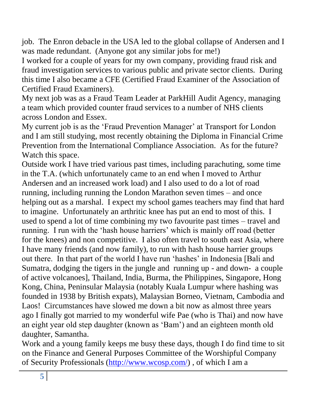job. The Enron debacle in the USA led to the global collapse of Andersen and I was made redundant. (Anyone got any similar jobs for me!)

I worked for a couple of years for my own company, providing fraud risk and fraud investigation services to various public and private sector clients. During this time I also became a CFE (Certified Fraud Examiner of the Association of Certified Fraud Examiners).

My next job was as a Fraud Team Leader at ParkHill Audit Agency, managing a team which provided counter fraud services to a number of NHS clients across London and Essex.

My current job is as the 'Fraud Prevention Manager' at Transport for London and I am still studying, most recently obtaining the Diploma in Financial Crime Prevention from the International Compliance Association. As for the future? Watch this space.

Outside work I have tried various past times, including parachuting, some time in the T.A. (which unfortunately came to an end when I moved to Arthur Andersen and an increased work load) and I also used to do a lot of road running, including running the London Marathon seven times – and once helping out as a marshal. I expect my school games teachers may find that hard to imagine. Unfortunately an arthritic knee has put an end to most of this. I used to spend a lot of time combining my two favourite past times – travel and running. I run with the 'hash house harriers' which is mainly off road (better for the knees) and non competitive. I also often travel to south east Asia, where I have many friends (and now family), to run with hash house harrier groups out there. In that part of the world I have run "hashes" in Indonesia [Bali and Sumatra, dodging the tigers in the jungle and running up - and down- a couple of active volcanoes], Thailand, India, Burma, the Philippines, Singapore, Hong Kong, China, Peninsular Malaysia (notably Kuala Lumpur where hashing was founded in 1938 by British expats), Malaysian Borneo, Vietnam, Cambodia and Laos! Circumstances have slowed me down a bit now as almost three years ago I finally got married to my wonderful wife Pae (who is Thai) and now have an eight year old step daughter (known as "Bam") and an eighteen month old daughter, Samantha.

Work and a young family keeps me busy these days, though I do find time to sit on the Finance and General Purposes Committee of the Worshipful Company of Security Professionals [\(http://www.wcosp.com/\)](http://www.wcosp.com/) , of which I am a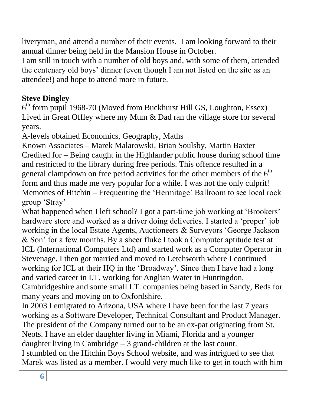liveryman, and attend a number of their events. I am looking forward to their annual dinner being held in the Mansion House in October.

I am still in touch with a number of old boys and, with some of them, attended the centenary old boys" dinner (even though I am not listed on the site as an attendee!) and hope to attend more in future.

### **Steve Dingley**

6 th form pupil 1968-70 (Moved from Buckhurst Hill GS, Loughton, Essex) Lived in Great Offley where my Mum & Dad ran the village store for several years.

A-levels obtained Economics, Geography, Maths

Known Associates – Marek Malarowski, Brian Soulsby, Martin Baxter Credited for – Being caught in the Highlander public house during school time and restricted to the library during free periods. This offence resulted in a general clampdown on free period activities for the other members of the  $6<sup>th</sup>$ form and thus made me very popular for a while. I was not the only culprit! Memories of Hitchin – Frequenting the "Hermitage" Ballroom to see local rock group "Stray"

What happened when I left school? I got a part-time job working at 'Brookers' hardware store and worked as a driver doing deliveries. I started a 'proper' job working in the local Estate Agents, Auctioneers & Surveyors "George Jackson & Son" for a few months. By a sheer fluke I took a Computer aptitude test at ICL (International Computers Ltd) and started work as a Computer Operator in Stevenage. I then got married and moved to Letchworth where I continued working for ICL at their HQ in the 'Broadway'. Since then I have had a long and varied career in I.T. working for Anglian Water in Huntingdon, Cambridgeshire and some small I.T. companies being based in Sandy, Beds for many years and moving on to Oxfordshire.

In 2003 I emigrated to Arizona, USA where I have been for the last 7 years working as a Software Developer, Technical Consultant and Product Manager. The president of the Company turned out to be an ex-pat originating from St. Neots. I have an elder daughter living in Miami, Florida and a younger daughter living in Cambridge – 3 grand-children at the last count. I stumbled on the Hitchin Boys School website, and was intrigued to see that Marek was listed as a member. I would very much like to get in touch with him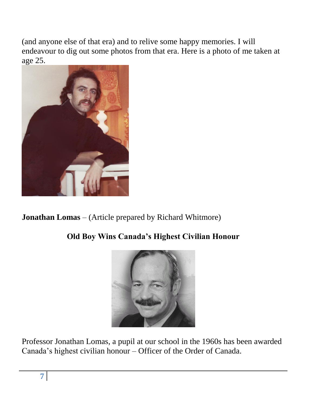(and anyone else of that era) and to relive some happy memories. I will endeavour to dig out some photos from that era. Here is a photo of me taken at age 25.



**Jonathan Lomas** – (Article prepared by Richard Whitmore)

### **Old Boy Wins Canada's Highest Civilian Honour**



Professor Jonathan Lomas, a pupil at our school in the 1960s has been awarded Canada"s highest civilian honour – Officer of the Order of Canada.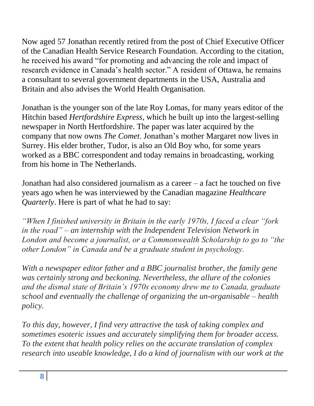Now aged 57 Jonathan recently retired from the post of Chief Executive Officer of the Canadian Health Service Research Foundation. According to the citation, he received his award "for promoting and advancing the role and impact of research evidence in Canada"s health sector." A resident of Ottawa, he remains a consultant to several government departments in the USA, Australia and Britain and also advises the World Health Organisation.

Jonathan is the younger son of the late Roy Lomas, for many years editor of the Hitchin based *Hertfordshire Express*, which he built up into the largest-selling newspaper in North Hertfordshire. The paper was later acquired by the company that now owns *The Comet*. Jonathan"s mother Margaret now lives in Surrey. His elder brother, Tudor, is also an Old Boy who, for some years worked as a BBC correspondent and today remains in broadcasting, working from his home in The Netherlands.

Jonathan had also considered journalism as a career – a fact he touched on five years ago when he was interviewed by the Canadian magazine *Healthcare Quarterly*. Here is part of what he had to say:

*"When I finished university in Britain in the early 1970s, I faced a clear "fork in the road" – an internship with the Independent Television Network in London and become a journalist, or a Commonwealth Scholarship to go to "the other London" in Canada and be a graduate student in psychology.*

*With a newspaper editor father and a BBC journalist brother, the family gene was certainly strong and beckoning. Nevertheless, the allure of the colonies and the dismal state of Britain"s 1970s economy drew me to Canada, graduate school and eventually the challenge of organizing the un-organisable – health policy.*

*To this day, however, I find very attractive the task of taking complex and sometimes esoteric issues and accurately simplifying them for broader access. To the extent that health policy relies on the accurate translation of complex research into useable knowledge, I do a kind of journalism with our work at the*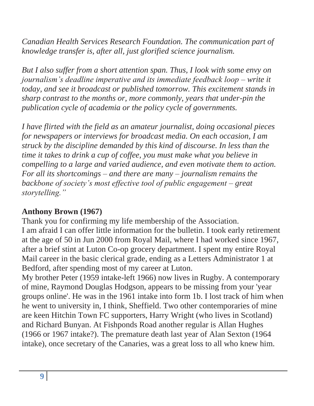*Canadian Health Services Research Foundation. The communication part of knowledge transfer is, after all, just glorified science journalism.*

*But I also suffer from a short attention span. Thus, I look with some envy on journalism"s deadline imperative and its immediate feedback loop – write it today, and see it broadcast or published tomorrow. This excitement stands in sharp contrast to the months or, more commonly, years that under-pin the publication cycle of academia or the policy cycle of governments.* 

*I have flirted with the field as an amateur journalist, doing occasional pieces for newspapers or interviews for broadcast media. On each occasion, I am struck by the discipline demanded by this kind of discourse. In less than the time it takes to drink a cup of coffee, you must make what you believe in compelling to a large and varied audience, and even motivate them to action. For all its shortcomings – and there are many – journalism remains the backbone of society"s most effective tool of public engagement – great storytelling."*

#### **Anthony Brown (1967)**

Thank you for confirming my life membership of the Association. I am afraid I can offer little information for the bulletin. I took early retirement at the age of 50 in Jun 2000 from Royal Mail, where I had worked since 1967, after a brief stint at Luton Co-op grocery department. I spent my entire Royal Mail career in the basic clerical grade, ending as a Letters Administrator 1 at Bedford, after spending most of my career at Luton.

My brother Peter (1959 intake-left 1966) now lives in Rugby. A contemporary of mine, Raymond Douglas Hodgson, appears to be missing from your 'year groups online'. He was in the 1961 intake into form 1b. I lost track of him when he went to university in, I think, Sheffield. Two other contemporaries of mine are keen Hitchin Town FC supporters, Harry Wright (who lives in Scotland) and Richard Bunyan. At Fishponds Road another regular is Allan Hughes (1966 or 1967 intake?). The premature death last year of Alan Sexton (1964 intake), once secretary of the Canaries, was a great loss to all who knew him.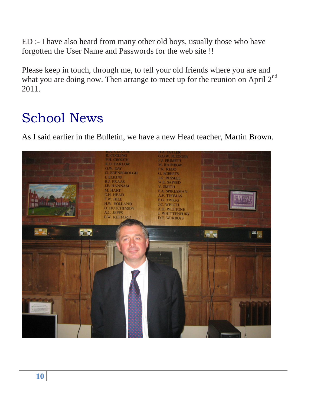ED :- I have also heard from many other old boys, usually those who have forgotten the User Name and Passwords for the web site !!

Please keep in touch, through me, to tell your old friends where you are and what you are doing now. Then arrange to meet up for the reunion on April 2<sup>nd</sup> 2011.

# School News

As I said earlier in the Bulletin, we have a new Head teacher, Martin Brown.

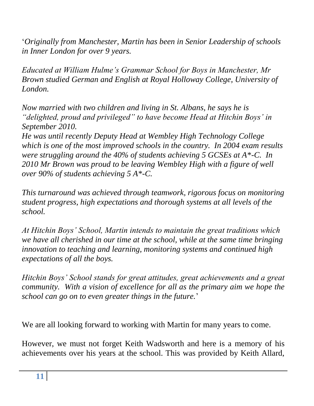"*Originally from Manchester, Martin has been in Senior Leadership of schools in Inner London for over 9 years.* 

*Educated at William Hulme"s Grammar School for Boys in Manchester, Mr Brown studied German and English at Royal Holloway College, University of London.* 

*Now married with two children and living in St. Albans, he says he is "delighted, proud and privileged" to have become Head at Hitchin Boys" in September 2010.*

*He was until recently Deputy Head at Wembley High Technology College which is one of the most improved schools in the country. In 2004 exam results were struggling around the 40% of students achieving 5 GCSEs at A\*-C. In 2010 Mr Brown was proud to be leaving Wembley High with a figure of well over 90% of students achieving 5 A\*-C.*

*This turnaround was achieved through teamwork, rigorous focus on monitoring student progress, high expectations and thorough systems at all levels of the school.* 

*At Hitchin Boys" School, Martin intends to maintain the great traditions which we have all cherished in our time at the school, while at the same time bringing innovation to teaching and learning, monitoring systems and continued high expectations of all the boys.*

*Hitchin Boys" School stands for great attitudes, great achievements and a great community. With a vision of excellence for all as the primary aim we hope the school can go on to even greater things in the future.*"

We are all looking forward to working with Martin for many years to come.

However, we must not forget Keith Wadsworth and here is a memory of his achievements over his years at the school. This was provided by Keith Allard,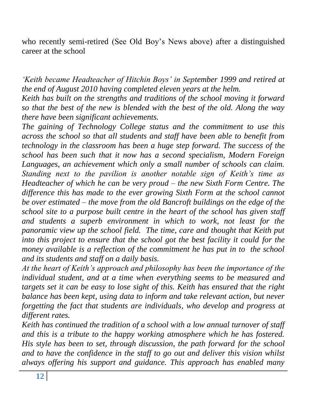who recently semi-retired (See Old Boy"s News above) after a distinguished career at the school

*"Keith became Headteacher of Hitchin Boys" in September 1999 and retired at the end of August 2010 having completed eleven years at the helm.*

*Keith has built on the strengths and traditions of the school moving it forward so that the best of the new is blended with the best of the old. Along the way there have been significant achievements.* 

*The gaining of Technology College status and the commitment to use this across the school so that all students and staff have been able to benefit from technology in the classroom has been a huge step forward. The success of the school has been such that it now has a second specialism, Modern Foreign Languages, an achievement which only a small number of schools can claim. Standing next to the pavilion is another notable sign of Keith"s time as Headteacher of which he can be very proud – the new Sixth Form Centre. The difference this has made to the ever growing Sixth Form at the school cannot be over estimated – the move from the old Bancroft buildings on the edge of the school site to a purpose built centre in the heart of the school has given staff and students a superb environment in which to work, not least for the panoramic view up the school field. The time, care and thought that Keith put into this project to ensure that the school got the best facility it could for the money available is a reflection of the commitment he has put in to the school and its students and staff on a daily basis.*

*At the heart of Keith"s approach and philosophy has been the importance of the individual student, and at a time when everything seems to be measured and targets set it can be easy to lose sight of this. Keith has ensured that the right balance has been kept, using data to inform and take relevant action, but never forgetting the fact that students are individuals, who develop and progress at different rates.*

*Keith has continued the tradition of a school with a low annual turnover of staff and this is a tribute to the happy working atmosphere which he has fostered. His style has been to set, through discussion, the path forward for the school and to have the confidence in the staff to go out and deliver this vision whilst always offering his support and guidance. This approach has enabled many*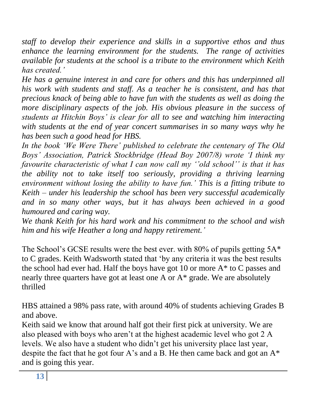*staff to develop their experience and skills in a supportive ethos and thus enhance the learning environment for the students. The range of activities available for students at the school is a tribute to the environment which Keith has created."*

*He has a genuine interest in and care for others and this has underpinned all his work with students and staff. As a teacher he is consistent, and has that precious knack of being able to have fun with the students as well as doing the more disciplinary aspects of the job. His obvious pleasure in the success of students at Hitchin Boys" is clear for all to see and watching him interacting with students at the end of year concert summarises in so many ways why he has been such a good head for HBS.*

*In the book "We Were There" published to celebrate the centenary of The Old Boys" Association, Patrick Stockbridge (Head Boy 2007/8) wrote "I think my favourite characteristic of what I can now call my ""old school"" is that it has the ability not to take itself too seriously, providing a thriving learning environment without losing the ability to have fun." This is a fitting tribute to Keith – under his leadership the school has been very successful academically and in so many other ways, but it has always been achieved in a good humoured and caring way.*

*We thank Keith for his hard work and his commitment to the school and wish him and his wife Heather a long and happy retirement."*

The School's GCSE results were the best ever. with  $80\%$  of pupils getting  $5A^*$ to C grades. Keith Wadsworth stated that "by any criteria it was the best results the school had ever had. Half the boys have got 10 or more  $A^*$  to C passes and nearly three quarters have got at least one A or A\* grade. We are absolutely thrilled

HBS attained a 98% pass rate, with around 40% of students achieving Grades B and above.

Keith said we know that around half got their first pick at university. We are also pleased with boys who aren"t at the highest academic level who got 2 A levels. We also have a student who didn"t get his university place last year, despite the fact that he got four A's and a B. He then came back and got an  $A^*$ and is going this year.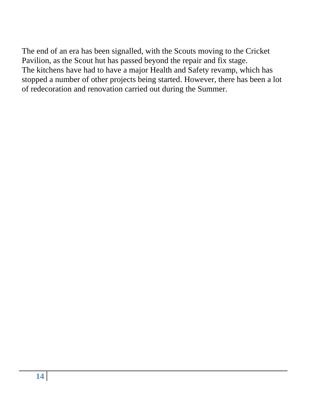The end of an era has been signalled, with the Scouts moving to the Cricket Pavilion, as the Scout hut has passed beyond the repair and fix stage. The kitchens have had to have a major Health and Safety revamp, which has stopped a number of other projects being started. However, there has been a lot of redecoration and renovation carried out during the Summer.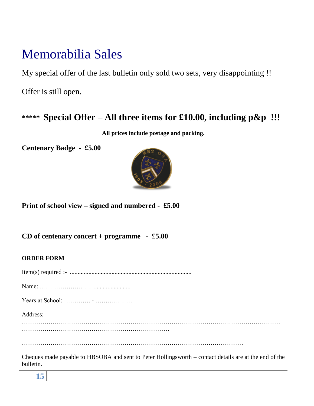## Memorabilia Sales

My special offer of the last bulletin only sold two sets, very disappointing !!

Offer is still open.

### **\*\*\*\*\* Special Offer – All three items for £10.00, including p&p !!!**

**All prices include postage and packing.**

**Centenary Badge - £5.00**



**Print of school view – signed and numbered - £5.00**

**CD of centenary concert + programme - £5.00**

#### **ORDER FORM**

Item(s) required :- ...............................................................................

Name: ……………………….......................

Years at School: …………. - ……………….

Address:

………………………………………………………………………………………………………………

………………………………………………………………………………………………

Cheques made payable to HBSOBA and sent to Peter Hollingsworth – contact details are at the end of the bulletin.